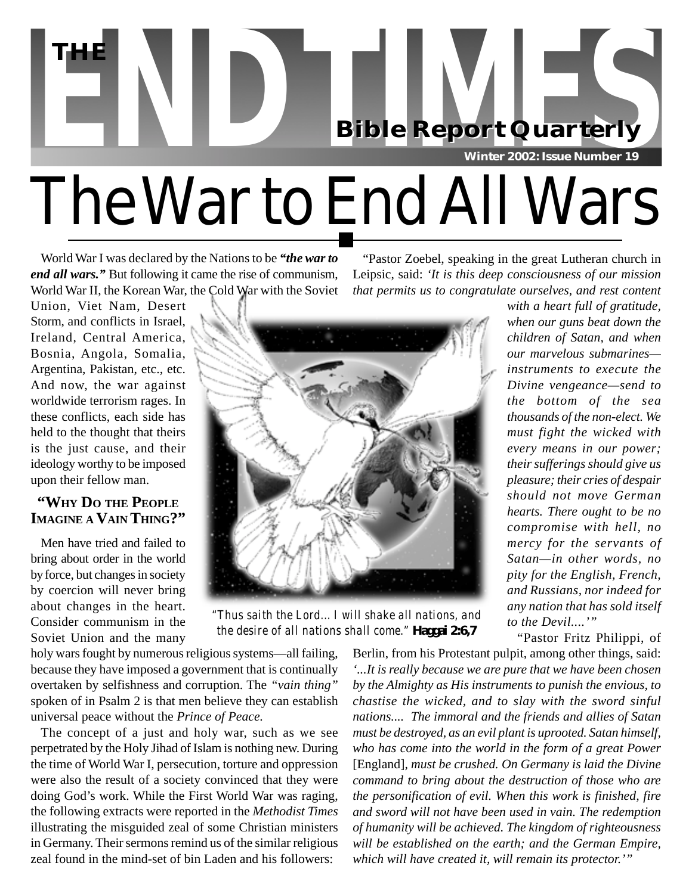

World War I was declared by the Nations to be *"the war to end all wars."* But following it came the rise of communism, World War II, the Korean War, the Cold War with the Soviet

"Pastor Zoebel, speaking in the great Lutheran church in Leipsic, said: *'It is this deep consciousness of our mission that permits us to congratulate ourselves, and rest content*

Union, Viet Nam, Desert Storm, and conflicts in Israel, Ireland, Central America, Bosnia, Angola, Somalia, Argentina, Pakistan, etc., etc. And now, the war against worldwide terrorism rages. In these conflicts, each side has held to the thought that theirs is the just cause, and their ideology worthy to be imposed upon their fellow man.

## **"WHY DO THE PEOPLE IMAGINE A VAIN THING?"**

Men have tried and failed to bring about order in the world by force, but changes in society by coercion will never bring about changes in the heart. Consider communism in the Soviet Union and the many



*the desire of all nations shall come."* **Haggai 2:6,7**

*with a heart full of gratitude,*

*when our guns beat down the children of Satan, and when our marvelous submarines instruments to execute the Divine vengeance—send to the bottom of the sea thousands of the non-elect. We must fight the wicked with every means in our power; their sufferings should give us pleasure; their cries of despair should not move German hearts. There ought to be no compromise with hell, no mercy for the servants of Satan—in other words, no pity for the English, French, and Russians, nor indeed for any nation that has sold itself to the Devil....'"*

"Pastor Fritz Philippi, of

holy wars fought by numerous religious systems—all failing, because they have imposed a government that is continually overtaken by selfishness and corruption. The *"vain thing"* spoken of in Psalm 2 is that men believe they can establish universal peace without the *Prince of Peace.*

The concept of a just and holy war, such as we see perpetrated by the Holy Jihad of Islam is nothing new. During the time of World War I, persecution, torture and oppression were also the result of a society convinced that they were doing God's work. While the First World War was raging, the following extracts were reported in the *Methodist Times* illustrating the misguided zeal of some Christian ministers in Germany. Their sermons remind us of the similar religious zeal found in the mind-set of bin Laden and his followers:

Berlin, from his Protestant pulpit, among other things, said: *'...It is really because we are pure that we have been chosen by the Almighty as His instruments to punish the envious, to chastise the wicked, and to slay with the sword sinful nations.... The immoral and the friends and allies of Satan must be destroyed, as an evil plant is uprooted. Satan himself, who has come into the world in the form of a great Power* [England]*, must be crushed. On Germany is laid the Divine command to bring about the destruction of those who are the personification of evil. When this work is finished, fire and sword will not have been used in vain. The redemption of humanity will be achieved. The kingdom of righteousness will be established on the earth; and the German Empire, which will have created it, will remain its protector.'"*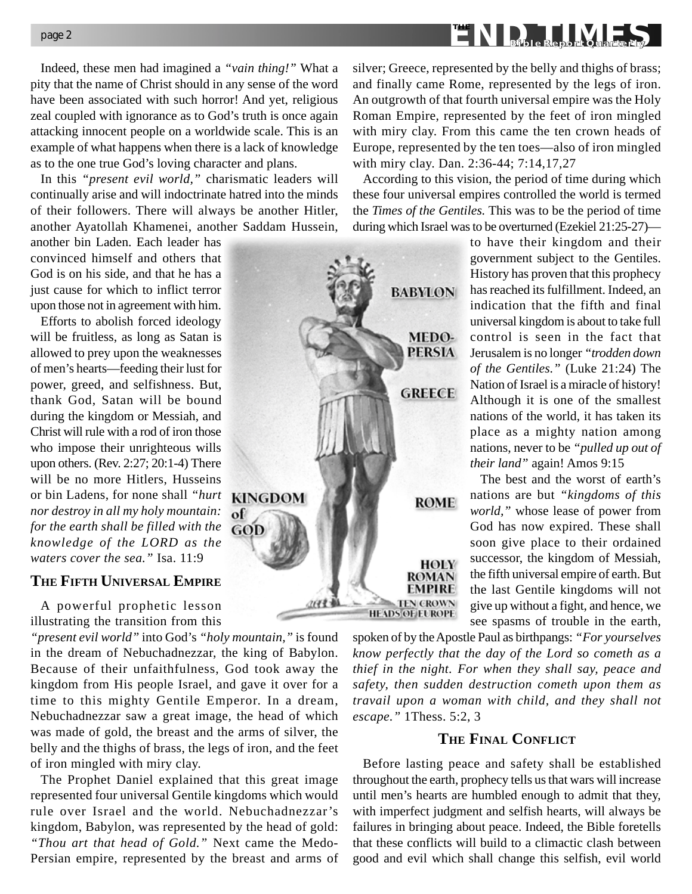Indeed, these men had imagined a *"vain thing!"* What a pity that the name of Christ should in any sense of the word have been associated with such horror! And yet, religious zeal coupled with ignorance as to God's truth is once again attacking innocent people on a worldwide scale. This is an example of what happens when there is a lack of knowledge as to the one true God's loving character and plans.

In this *"present evil world,"* charismatic leaders will continually arise and will indoctrinate hatred into the minds of their followers. There will always be another Hitler, another Ayatollah Khamenei, another Saddam Hussein,

another bin Laden. Each leader has convinced himself and others that God is on his side, and that he has a just cause for which to inflict terror upon those not in agreement with him.

Efforts to abolish forced ideology will be fruitless, as long as Satan is allowed to prey upon the weaknesses of men's hearts—feeding their lust for power, greed, and selfishness. But, thank God, Satan will be bound during the kingdom or Messiah, and Christ will rule with a rod of iron those who impose their unrighteous wills upon others. (Rev. 2:27; 20:1-4) There will be no more Hitlers, Husseins or bin Ladens, for none shall *"hurt nor destroy in all my holy mountain: for the earth shall be filled with the knowledge of the LORD as the waters cover the sea."* Isa. 11:9

#### **THE FIFTH UNIVERSAL EMPIRE**

A powerful prophetic lesson illustrating the transition from this

*"present evil world"* into God's *"holy mountain,"* is found in the dream of Nebuchadnezzar, the king of Babylon. Because of their unfaithfulness, God took away the kingdom from His people Israel, and gave it over for a time to this mighty Gentile Emperor. In a dream, Nebuchadnezzar saw a great image, the head of which was made of gold, the breast and the arms of silver, the belly and the thighs of brass, the legs of iron, and the feet of iron mingled with miry clay.

of

The Prophet Daniel explained that this great image represented four universal Gentile kingdoms which would rule over Israel and the world. Nebuchadnezzar's kingdom, Babylon, was represented by the head of gold: *"Thou art that head of Gold."* Next came the Medo-Persian empire, represented by the breast and arms of silver; Greece, represented by the belly and thighs of brass; and finally came Rome, represented by the legs of iron. An outgrowth of that fourth universal empire was the Holy Roman Empire, represented by the feet of iron mingled with miry clay. From this came the ten crown heads of Europe, represented by the ten toes—also of iron mingled with miry clay. Dan. 2:36-44; 7:14,17,27

According to this vision, the period of time during which these four universal empires controlled the world is termed the *Times of the Gentiles.* This was to be the period of time during which Israel was to be overturned (Ezekiel 21:25-27)—



to have their kingdom and their government subject to the Gentiles. History has proven that this prophecy has reached its fulfillment. Indeed, an indication that the fifth and final universal kingdom is about to take full control is seen in the fact that Jerusalem is no longer *"trodden down of the Gentiles."* (Luke 21:24) The Nation of Israel is a miracle of history! Although it is one of the smallest nations of the world, it has taken its place as a mighty nation among nations, never to be *"pulled up out of their land"* again! Amos 9:15

The best and the worst of earth's nations are but *"kingdoms of this world,"* whose lease of power from God has now expired. These shall soon give place to their ordained successor, the kingdom of Messiah, the fifth universal empire of earth. But the last Gentile kingdoms will not give up without a fight, and hence, we see spasms of trouble in the earth,

spoken of by the Apostle Paul as birthpangs: *"For yourselves know perfectly that the day of the Lord so cometh as a thief in the night. For when they shall say, peace and safety, then sudden destruction cometh upon them as travail upon a woman with child, and they shall not escape."* 1Thess. 5:2, 3

### **THE FINAL CONFLICT**

Before lasting peace and safety shall be established throughout the earth, prophecy tells us that wars will increase until men's hearts are humbled enough to admit that they, with imperfect judgment and selfish hearts, will always be failures in bringing about peace. Indeed, the Bible foretells that these conflicts will build to a climactic clash between good and evil which shall change this selfish, evil world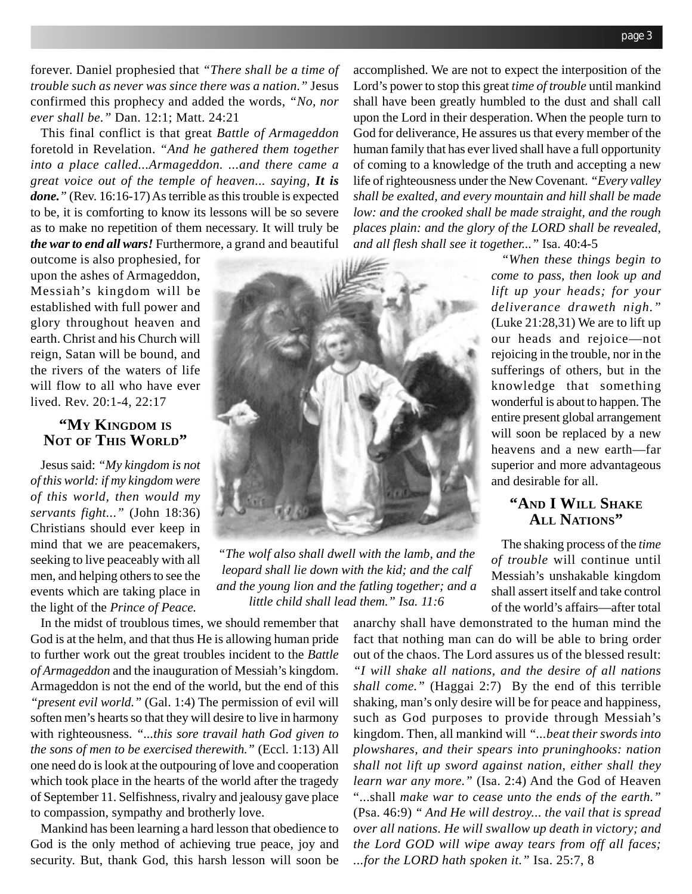forever. Daniel prophesied that *"There shall be a time of trouble such as never was since there was a nation."* Jesus confirmed this prophecy and added the words, *"No, nor ever shall be."* Dan. 12:1; Matt. 24:21

This final conflict is that great *Battle of Armageddon* foretold in Revelation. *"And he gathered them together into a place called...Armageddon. ...and there came a great voice out of the temple of heaven... saying, It is done."* (Rev. 16:16-17) As terrible as this trouble is expected to be, it is comforting to know its lessons will be so severe as to make no repetition of them necessary. It will truly be *the war to end all wars!* Furthermore, a grand and beautiful

outcome is also prophesied, for upon the ashes of Armageddon, Messiah's kingdom will be established with full power and glory throughout heaven and earth. Christ and his Church will reign, Satan will be bound, and the rivers of the waters of life will flow to all who have ever lived. Rev. 20:1-4, 22:17

#### **"MY KINGDOM IS NOT OF THIS WORLD"**

Jesus said: *"My kingdom is not of this world: if my kingdom were of this world, then would my servants fight..."* (John 18:36) Christians should ever keep in mind that we are peacemakers, seeking to live peaceably with all men, and helping others to see the events which are taking place in the light of the *Prince of Peace.*

*"The wolf also shall dwell with the lamb, and the leopard shall lie down with the kid; and the calf and the young lion and the fatling together; and a little child shall lead them." Isa. 11:6*

In the midst of troublous times, we should remember that God is at the helm, and that thus He is allowing human pride to further work out the great troubles incident to the *Battle of Armageddon* and the inauguration of Messiah's kingdom. Armageddon is not the end of the world, but the end of this *"present evil world."* (Gal. 1:4) The permission of evil will soften men's hearts so that they will desire to live in harmony with righteousness. *"...this sore travail hath God given to the sons of men to be exercised therewith."* (Eccl. 1:13) All one need do is look at the outpouring of love and cooperation which took place in the hearts of the world after the tragedy of September 11. Selfishness, rivalry and jealousy gave place to compassion, sympathy and brotherly love.

Mankind has been learning a hard lesson that obedience to God is the only method of achieving true peace, joy and security. But, thank God, this harsh lesson will soon be accomplished. We are not to expect the interposition of the Lord's power to stop this great *time of trouble* until mankind shall have been greatly humbled to the dust and shall call upon the Lord in their desperation. When the people turn to God for deliverance, He assures us that every member of the human family that has ever lived shall have a full opportunity of coming to a knowledge of the truth and accepting a new life of righteousness under the New Covenant. *"Every valley shall be exalted, and every mountain and hill shall be made low: and the crooked shall be made straight, and the rough places plain: and the glory of the LORD shall be revealed, and all flesh shall see it together..."* Isa. 40:4-5

> *"When these things begin to come to pass, then look up and lift up your heads; for your deliverance draweth nigh."* (Luke 21:28,31) We are to lift up our heads and rejoice—not rejoicing in the trouble, nor in the sufferings of others, but in the knowledge that something wonderful is about to happen. The entire present global arrangement will soon be replaced by a new heavens and a new earth—far superior and more advantageous and desirable for all.

# **"AND I WILL SHAKE ALL NATIONS"**

The shaking process of the *time of trouble* will continue until Messiah's unshakable kingdom shall assert itself and take control of the world's affairs—after total

anarchy shall have demonstrated to the human mind the fact that nothing man can do will be able to bring order out of the chaos. The Lord assures us of the blessed result: *"I will shake all nations, and the desire of all nations shall come."* (Haggai 2:7) By the end of this terrible shaking, man's only desire will be for peace and happiness, such as God purposes to provide through Messiah's kingdom. Then, all mankind will *"...beat their swords into plowshares, and their spears into pruninghooks: nation shall not lift up sword against nation, either shall they learn war any more."* (Isa. 2:4) And the God of Heaven "...shall *make war to cease unto the ends of the earth."* (Psa. 46:9) *" And He will destroy... the vail that is spread over all nations. He will swallow up death in victory; and the Lord GOD will wipe away tears from off all faces; ...for the LORD hath spoken it."* Isa. 25:7, 8